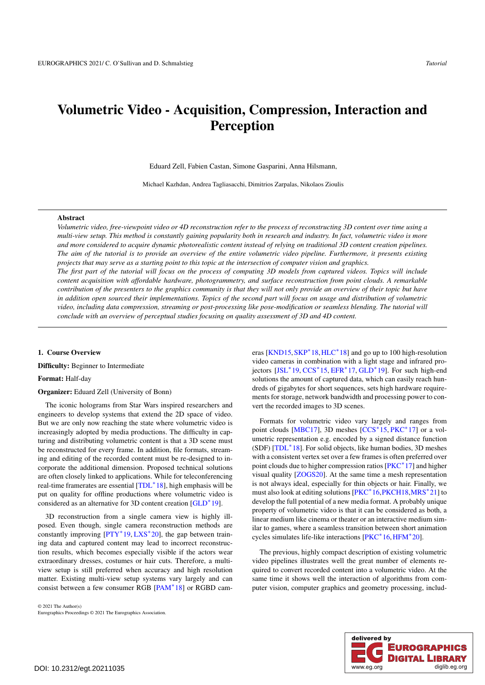# <span id="page-0-0"></span>Volumetric Video - Acquisition, Compression, Interaction and Perception

Eduard Zell, Fabien Castan, Simone Gasparini, Anna Hilsmann,

Michael Kazhdan, Andrea Tagliasacchi, Dimitrios Zarpalas, Nikolaos Zioulis

## Abstract

*Volumetric video, free-viewpoint video or 4D reconstruction refer to the process of reconstructing 3D content over time using a multi-view setup. This method is constantly gaining popularity both in research and industry. In fact, volumetric video is more and more considered to acquire dynamic photorealistic content instead of relying on traditional 3D content creation pipelines. The aim of the tutorial is to provide an overview of the entire volumetric video pipeline. Furthermore, it presents existing projects that may serve as a starting point to this topic at the intersection of computer vision and graphics.*

*The first part of the tutorial will focus on the process of computing 3D models from captured videos. Topics will include content acquisition with affordable hardware, photogrammetry, and surface reconstruction from point clouds. A remarkable contribution of the presenters to the graphics community is that they will not only provide an overview of their topic but have in addition open sourced their implementations. Topics of the second part will focus on usage and distribution of volumetric video, including data compression, streaming or post-processing like pose-modification or seamless blending. The tutorial will conclude with an overview of perceptual studies focusing on quality assessment of 3D and 4D content.*

# 1. Course Overview

Difficulty: Beginner to Intermediate

## Format: Half-day

#### Organizer: Eduard Zell (University of Bonn)

The iconic holograms from Star Wars inspired researchers and engineers to develop systems that extend the 2D space of video. But we are only now reaching the state where volumetric video is increasingly adopted by media productions. The difficulty in capturing and distributing volumetric content is that a 3D scene must be reconstructed for every frame. In addition, file formats, streaming and editing of the recorded content must be re-designed to incorporate the additional dimension. Proposed technical solutions are often closely linked to applications. While for teleconferencing real-time framerates are essential [\[TDL](#page-4-0)<sup>∗</sup> 18], high emphasis will be put on quality for offline productions where volumetric video is considered as an alternative for 3D content creation [\[GLD](#page-3-0)<sup>∗</sup> 19].

3D reconstruction from a single camera view is highly illposed. Even though, single camera reconstruction methods are constantly improving  $[PTY^*19, LXS^*20]$  $[PTY^*19, LXS^*20]$  $[PTY^*19, LXS^*20]$  $[PTY^*19, LXS^*20]$ , the gap between training data and captured content may lead to incorrect reconstruction results, which becomes especially visible if the actors wear extraordinary dresses, costumes or hair cuts. Therefore, a multiview setup is still preferred when accuracy and high resolution matter. Existing multi-view setup systems vary largely and can consist between a few consumer RGB [\[PAM](#page-4-3)<sup>∗</sup> 18] or RGBD cam-

© 2021 The Author(s) Eurographics Proceedings © 2021 The Eurographics Association. eras [\[KND15,](#page-4-4) [SKP](#page-4-5)<sup>\*</sup>18, [HLC](#page-4-6)<sup>\*</sup>18] and go up to 100 high-resolution video cameras in combination with a light stage and infrared projectors [\[JSL](#page-4-7)<sup>∗</sup> 19, [CCS](#page-3-1)<sup>∗</sup> 15, [EFR](#page-3-2)<sup>∗</sup> 17, [GLD](#page-3-0)<sup>∗</sup> 19]. For such high-end solutions the amount of captured data, which can easily reach hundreds of gigabytes for short sequences, sets high hardware requirements for storage, network bandwidth and processing power to convert the recorded images to 3D scenes.

Formats for volumetric video vary largely and ranges from point clouds [\[MBC17\]](#page-4-8), 3D meshes [\[CCS](#page-3-1)<sup>\*</sup>15, [PKC](#page-4-9)<sup>\*</sup>17] or a volumetric representation e.g. encoded by a signed distance function (SDF) [\[TDL](#page-4-0)<sup>∗</sup> 18]. For solid objects, like human bodies, 3D meshes with a consistent vertex set over a few frames is often preferred over point clouds due to higher compression ratios [\[PKC](#page-4-9)<sup>∗</sup>17] and higher visual quality [\[ZOGS20\]](#page-4-10). At the same time a mesh representation is not always ideal, especially for thin objects or hair. Finally, we must also look at editing solutions [\[PKC](#page-4-11)<sup>\*</sup>16[,PKCH18,](#page-4-12)[MRS](#page-4-13)<sup>\*</sup>21] to develop the full potential of a new media format. A probably unique property of volumetric video is that it can be considered as both, a linear medium like cinema or theater or an interactive medium similar to games, where a seamless transition between short animation cycles simulates life-like interactions [\[PKC](#page-4-11)<sup>\*</sup>16, HFM<sup>\*</sup>20].

The previous, highly compact description of existing volumetric video pipelines illustrates well the great number of elements required to convert recorded content into a volumetric video. At the same time it shows well the interaction of algorithms from computer vision, computer graphics and geometry processing, includ-

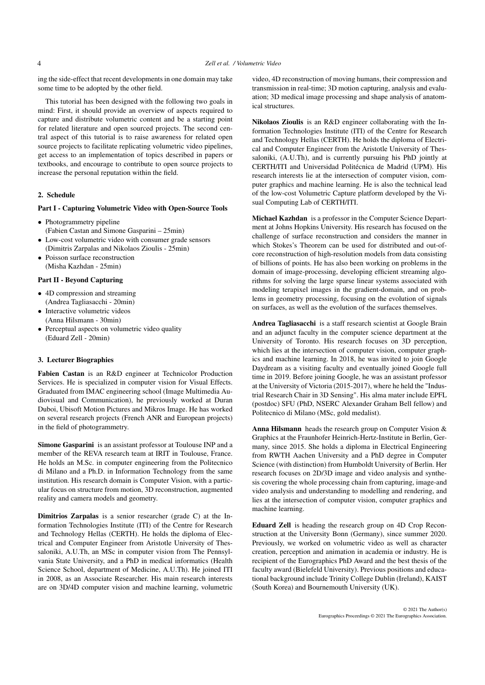ing the side-effect that recent developments in one domain may take some time to be adopted by the other field.

This tutorial has been designed with the following two goals in mind: First, it should provide an overview of aspects required to capture and distribute volumetric content and be a starting point for related literature and open sourced projects. The second central aspect of this tutorial is to raise awareness for related open source projects to facilitate replicating volumetric video pipelines, get access to an implementation of topics described in papers or textbooks, and encourage to contribute to open source projects to increase the personal reputation within the field.

# 2. Schedule

# Part I - Capturing Volumetric Video with Open-Source Tools

- Photogrammetry pipeline (Fabien Castan and Simone Gasparini – 25min)
- Low-cost volumetric video with consumer grade sensors (Dimitris Zarpalas and Nikolaos Zioulis - 25min)
- Poisson surface reconstruction (Misha Kazhdan - 25min)

# Part II - Beyond Capturing

- 4D compression and streaming (Andrea Tagliasacchi - 20min)
- Interactive volumetric videos (Anna Hilsmann - 30min)
- Perceptual aspects on volumetric video quality (Eduard Zell - 20min)

## 3. Lecturer Biographies

Fabien Castan is an R&D engineer at Technicolor Production Services. He is specialized in computer vision for Visual Effects. Graduated from IMAC engineering school (Image Multimedia Audiovisual and Communication), he previously worked at Duran Duboi, Ubisoft Motion Pictures and Mikros Image. He has worked on several research projects (French ANR and European projects) in the field of photogrammetry.

Simone Gasparini is an assistant professor at Toulouse INP and a member of the REVA research team at IRIT in Toulouse, France. He holds an M.Sc. in computer engineering from the Politecnico di Milano and a Ph.D. in Information Technology from the same institution. His research domain is Computer Vision, with a particular focus on structure from motion, 3D reconstruction, augmented reality and camera models and geometry.

Dimitrios Zarpalas is a senior researcher (grade C) at the Information Technologies Institute (ITI) of the Centre for Research and Technology Hellas (CERTH). He holds the diploma of Electrical and Computer Engineer from Aristotle University of Thessaloniki, A.U.Th, an MSc in computer vision from The Pennsylvania State University, and a PhD in medical informatics (Health Science School, department of Medicine, A.U.Th). He joined ITI in 2008, as an Associate Researcher. His main research interests are on 3D/4D computer vision and machine learning, volumetric

video, 4D reconstruction of moving humans, their compression and transmission in real-time; 3D motion capturing, analysis and evaluation; 3D medical image processing and shape analysis of anatomical structures.

Nikolaos Zioulis is an R&D engineer collaborating with the Information Technologies Institute (ITI) of the Centre for Research and Technology Hellas (CERTH). He holds the diploma of Electrical and Computer Engineer from the Aristotle University of Thessaloniki, (A.U.Th), and is currently pursuing his PhD jointly at CERTH/ITI and Universidad Politécnica de Madrid (UPM). His research interests lie at the intersection of computer vision, computer graphics and machine learning. He is also the technical lead of the low-cost Volumetric Capture platform developed by the Visual Computing Lab of CERTH/ITI.

Michael Kazhdan is a professor in the Computer Science Department at Johns Hopkins University. His research has focused on the challenge of surface reconstruction and considers the manner in which Stokes's Theorem can be used for distributed and out-ofcore reconstruction of high-resolution models from data consisting of billions of points. He has also been working on problems in the domain of image-processing, developing efficient streaming algorithms for solving the large sparse linear systems associated with modeling terapixel images in the gradient-domain, and on problems in geometry processing, focusing on the evolution of signals on surfaces, as well as the evolution of the surfaces themselves.

Andrea Tagliasacchi is a staff research scientist at Google Brain and an adjunct faculty in the computer science department at the University of Toronto. His research focuses on 3D perception, which lies at the intersection of computer vision, computer graphics and machine learning. In 2018, he was invited to join Google Daydream as a visiting faculty and eventually joined Google full time in 2019. Before joining Google, he was an assistant professor at the University of Victoria (2015-2017), where he held the "Industrial Research Chair in 3D Sensing". His alma mater include EPFL (postdoc) SFU (PhD, NSERC Alexander Graham Bell fellow) and Politecnico di Milano (MSc, gold medalist).

Anna Hilsmann heads the research group on Computer Vision & Graphics at the Fraunhofer Heinrich-Hertz-Institute in Berlin, Germany, since 2015. She holds a diploma in Electrical Engineering from RWTH Aachen University and a PhD degree in Computer Science (with distinction) from Humboldt University of Berlin. Her research focuses on 2D/3D image and video analysis and synthesis covering the whole processing chain from capturing, image-and video analysis and understanding to modelling and rendering, and lies at the intersection of computer vision, computer graphics and machine learning.

Eduard Zell is heading the research group on 4D Crop Reconstruction at the University Bonn (Germany), since summer 2020. Previously, we worked on volumetric video as well as character creation, perception and animation in academia or industry. He is recipient of the Eurographics PhD Award and the best thesis of the faculty award (Bielefeld University). Previous positions and educational background include Trinity College Dublin (Ireland), KAIST (South Korea) and Bournemouth University (UK).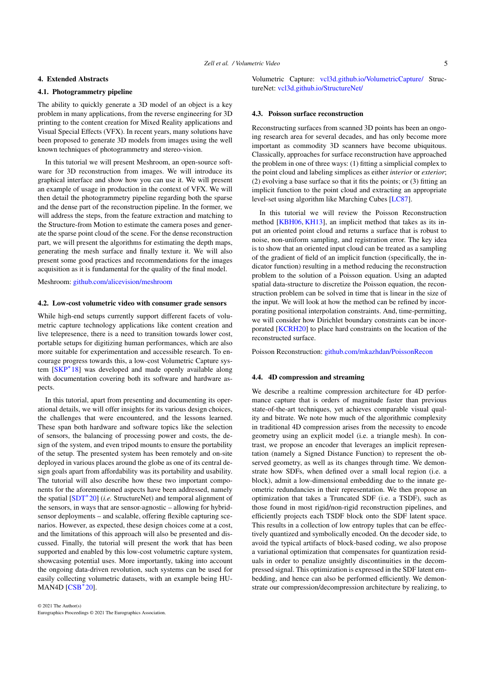## <span id="page-2-0"></span>4. Extended Abstracts

# 4.1. Photogrammetry pipeline

The ability to quickly generate a 3D model of an object is a key problem in many applications, from the reverse engineering for 3D printing to the content creation for Mixed Reality applications and Visual Special Effects (VFX). In recent years, many solutions have been proposed to generate 3D models from images using the well known techniques of photogrammetry and stereo-vision.

In this tutorial we will present Meshroom, an open-source software for 3D reconstruction from images. We will introduce its graphical interface and show how you can use it. We will present an example of usage in production in the context of VFX. We will then detail the photogrammetry pipeline regarding both the sparse and the dense part of the reconstruction pipeline. In the former, we will address the steps, from the feature extraction and matching to the Structure-from Motion to estimate the camera poses and generate the sparse point cloud of the scene. For the dense reconstruction part, we will present the algorithms for estimating the depth maps, generating the mesh surface and finally texture it. We will also present some good practices and recommendations for the images acquisition as it is fundamental for the quality of the final model.

Meshroom: [github.com/alicevision/meshroom](https://github.com/alicevision/meshroom)

### 4.2. Low-cost volumetric video with consumer grade sensors

While high-end setups currently support different facets of volumetric capture technology applications like content creation and live telepresence, there is a need to transition towards lower cost, portable setups for digitizing human performances, which are also more suitable for experimentation and accessible research. To encourage progress towards this, a low-cost Volumetric Capture sys-tem [\[SKP](#page-4-5)<sup>\*</sup>18] was developed and made openly available along with documentation covering both its software and hardware aspects.

In this tutorial, apart from presenting and documenting its operational details, we will offer insights for its various design choices, the challenges that were encountered, and the lessons learned. These span both hardware and software topics like the selection of sensors, the balancing of processing power and costs, the design of the system, and even tripod mounts to ensure the portability of the setup. The presented system has been remotely and on-site deployed in various places around the globe as one of its central design goals apart from affordability was its portability and usability. The tutorial will also describe how these two important components for the aforementioned aspects have been addressed, namely the spatial [\[SDT](#page-4-14)<sup>∗</sup> 20] (*i.e.* StructureNet) and temporal alignment of the sensors, in ways that are sensor-agnostic – allowing for hybridsensor deployments – and scalable, offering flexible capturing scenarios. However, as expected, these design choices come at a cost, and the limitations of this approach will also be presented and discussed. Finally, the tutorial will present the work that has been supported and enabled by this low-cost volumetric capture system, showcasing potential uses. More importantly, taking into account the ongoing data-driven revolution, such systems can be used for easily collecting volumetric datasets, with an example being HU-MAN4D [\[CSB](#page-3-4)<sup>∗</sup> 20].

Volumetric Capture: [vcl3d.github.io/VolumetricCapture/](https://vcl3d.github.io/VolumetricCapture/) StructureNet: [vcl3d.github.io/StructureNet/](https://vcl3d.github.io/StructureNet/)

## 4.3. Poisson surface reconstruction

Reconstructing surfaces from scanned 3D points has been an ongoing research area for several decades, and has only become more important as commodity 3D scanners have become ubiquitous. Classically, approaches for surface reconstruction have approached the problem in one of three ways: (1) fitting a simplicial complex to the point cloud and labeling simplices as either *interior* or *exterior*; (2) evolving a base surface so that it fits the points; or (3) fitting an implicit function to the point cloud and extracting an appropriate level-set using algorithm like Marching Cubes [\[LC87\]](#page-4-15).

In this tutorial we will review the Poisson Reconstruction method [\[KBH06,](#page-4-16) [KH13\]](#page-4-17), an implicit method that takes as its input an oriented point cloud and returns a surface that is robust to noise, non-uniform sampling, and registration error. The key idea is to show that an oriented input cloud can be treated as a sampling of the gradient of field of an implicit function (specifically, the indicator function) resulting in a method reducing the reconstruction problem to the solution of a Poisson equation. Using an adapted spatial data-structure to discretize the Poisson equation, the reconstruction problem can be solved in time that is linear in the size of the input. We will look at how the method can be refined by incorporating positional interpolation constraints. And, time-permitting, we will consider how Dirichlet boundary constraints can be incorporated [\[KCRH20\]](#page-4-18) to place hard constraints on the location of the reconstructed surface.

Poisson Reconstruction: [github.com/mkazhdan/PoissonRecon](https://github.com/mkazhdan/PoissonRecon)

## 4.4. 4D compression and streaming

We describe a realtime compression architecture for 4D performance capture that is orders of magnitude faster than previous state-of-the-art techniques, yet achieves comparable visual quality and bitrate. We note how much of the algorithmic complexity in traditional 4D compression arises from the necessity to encode geometry using an explicit model (i.e. a triangle mesh). In contrast, we propose an encoder that leverages an implicit representation (namely a Signed Distance Function) to represent the observed geometry, as well as its changes through time. We demonstrate how SDFs, when defined over a small local region (i.e. a block), admit a low-dimensional embedding due to the innate geometric redundancies in their representation. We then propose an optimization that takes a Truncated SDF (i.e. a TSDF), such as those found in most rigid/non-rigid reconstruction pipelines, and efficiently projects each TSDF block onto the SDF latent space. This results in a collection of low entropy tuples that can be effectively quantized and symbolically encoded. On the decoder side, to avoid the typical artifacts of block-based coding, we also propose a variational optimization that compensates for quantization residuals in order to penalize unsightly discontinuities in the decompressed signal. This optimization is expressed in the SDF latent embedding, and hence can also be performed efficiently. We demonstrate our compression/decompression architecture by realizing, to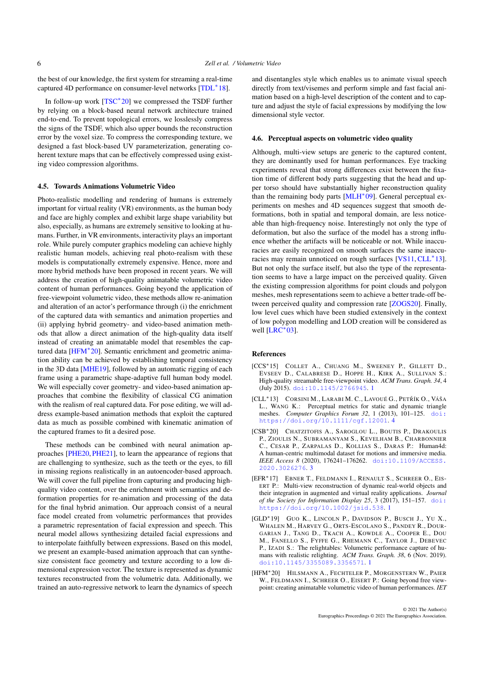<span id="page-3-6"></span>the best of our knowledge, the first system for streaming a real-time captured 4D performance on consumer-level networks [\[TDL](#page-4-0)<sup>∗</sup> 18].

In follow-up work [\[TSC](#page-4-19)<sup>∗</sup> 20] we compressed the TSDF further by relying on a block-based neural network architecture trained end-to-end. To prevent topological errors, we losslessly compress the signs of the TSDF, which also upper bounds the reconstruction error by the voxel size. To compress the corresponding texture, we designed a fast block-based UV parameterization, generating coherent texture maps that can be effectively compressed using existing video compression algorithms.

#### 4.5. Towards Animations Volumetric Video

Photo-realistic modelling and rendering of humans is extremely important for virtual reality (VR) environments, as the human body and face are highly complex and exhibit large shape variability but also, especially, as humans are extremely sensitive to looking at humans. Further, in VR environments, interactivity plays an important role. While purely computer graphics modeling can achieve highly realistic human models, achieving real photo-realism with these models is computationally extremely expensive. Hence, more and more hybrid methods have been proposed in recent years. We will address the creation of high-quality animatable volumetric video content of human performances. Going beyond the application of free-viewpoint volumetric video, these methods allow re-animation and alteration of an actor's performance through (i) the enrichment of the captured data with semantics and animation properties and (ii) applying hybrid geometry- and video-based animation methods that allow a direct animation of the high-quality data itself instead of creating an animatable model that resembles the cap-tured data [\[HFM](#page-3-3)<sup>\*</sup>20]. Semantic enrichment and geometric animation ability can be achieved by establishing temporal consistency in the 3D data [\[MHE19\]](#page-4-20), followed by an automatic rigging of each frame using a parametric shape-adaptive full human body model. We will especially cover geometry- and video-based animation approaches that combine the flexibility of classical CG animation with the realism of real captured data. For pose editing, we will address example-based animation methods that exploit the captured data as much as possible combined with kinematic animation of the captured frames to fit a desired pose.

These methods can be combined with neural animation approaches [\[PHE20,](#page-4-21) [PHE21\]](#page-4-22), to learn the appearance of regions that are challenging to synthesize, such as the teeth or the eyes, to fill in missing regions realistically in an autoencoder-based approach. We will cover the full pipeline from capturing and producing highquality video content, over the enrichment with semantics and deformation properties for re-animation and processing of the data for the final hybrid animation. Our approach consist of a neural face model created from volumetric performances that provides a parametric representation of facial expression and speech. This neural model allows synthesizing detailed facial expressions and to interpolate faithfully between expressions. Based on this model, we present an example-based animation approach that can synthesize consistent face geometry and texture according to a low dimensional expression vector. The texture is represented as dynamic textures reconstructed from the volumetric data. Additionally, we trained an auto-regressive network to learn the dynamics of speech and disentangles style which enables us to animate visual speech directly from text/visemes and perform simple and fast facial animation based on a high-level description of the content and to capture and adjust the style of facial expressions by modifying the low dimensional style vector.

#### 4.6. Perceptual aspects on volumetric video quality

Although, multi-view setups are generic to the captured content, they are dominantly used for human performances. Eye tracking experiments reveal that strong differences exist between the fixation time of different body parts suggesting that the head and upper torso should have substantially higher reconstruction quality than the remaining body parts [\[MLH](#page-4-23)<sup>∗</sup>09]. General perceptual experiments on meshes and 4D sequences suggest that smooth deformations, both in spatial and temporal domain, are less noticeable than high-frequency noise. Interestingly not only the type of deformation, but also the surface of the model has a strong influence whether the artifacts will be noticeable or not. While inaccuracies are easily recognized on smooth surfaces the same inaccu-racies may remain unnoticed on rough surfaces [\[VS11,](#page-4-24) [CLL](#page-3-5)<sup>∗</sup>13]. But not only the surface itself, but also the type of the representation seems to have a large impact on the perceived quality. Given the existing compression algorithms for point clouds and polygon meshes, mesh representations seem to achieve a better trade-off between perceived quality and compression rate [\[ZOGS20\]](#page-4-10). Finally, low level cues which have been studied extensively in the context of low polygon modelling and LOD creation will be considered as well  $[LRC^*03]$  $[LRC^*03]$ .

#### <span id="page-3-1"></span>References

- [CCS∗15] COLLET A., CHUANG M., SWEENEY P., GILLETT D., EVSEEV D., CALABRESE D., HOPPE H., KIRK A., SULLIVAN S.: High-quality streamable free-viewpoint video. *ACM Trans. Graph. 34*, 4 (July 2015). [doi:10.1145/2766945](https://doi.org/10.1145/2766945). [1](#page-0-0)
- <span id="page-3-5"></span>[CLL<sup>\*</sup>13] CORSINI M., LARABI M. C., LAVOUÉ G., PETŘÍK O., VÁŠA L., WANG K.: Perceptual metrics for static and dynamic triangle meshes. *Computer Graphics Forum 32*, 1 (2013), 101–125. [doi:](https://doi.org/https://doi.org/10.1111/cgf.12001) [https://doi.org/10.1111/cgf.12001](https://doi.org/https://doi.org/10.1111/cgf.12001). [4](#page-3-6)
- <span id="page-3-4"></span>[CSB∗20] CHATZITOFIS A., SAROGLOU L., BOUTIS P., DRAKOULIS P., ZIOULIS N., SUBRAMANYAM S., KEVELHAM B., CHARBONNIER C., CESAR P., ZARPALAS D., KOLLIAS S., DARAS P.: Human4d: A human-centric multimodal dataset for motions and immersive media. *IEEE Access 8* (2020), 176241–176262. [doi:10.1109/ACCESS.](https://doi.org/10.1109/ACCESS.2020.3026276) [2020.3026276](https://doi.org/10.1109/ACCESS.2020.3026276). [3](#page-2-0)
- <span id="page-3-2"></span>[EFR∗17] EBNER T., FELDMANN I., RENAULT S., SCHREER O., EIS-ERT P.: Multi-view reconstruction of dynamic real-world objects and their integration in augmented and virtual reality applications. *Journal of the Society for Information Display 25*, 3 (2017), 151–157. [doi:](https://doi.org/https://doi.org/10.1002/jsid.538) [https://doi.org/10.1002/jsid.538](https://doi.org/https://doi.org/10.1002/jsid.538). [1](#page-0-0)
- <span id="page-3-0"></span>[GLD∗19] GUO K., LINCOLN P., DAVIDSON P., BUSCH J., Y<sup>U</sup> X., WHALEN M., HARVEY G., ORTS-ESCOLANO S., PANDEY R., DOUR-GARIAN J., TANG D., TKACH A., KOWDLE A., COOPER E., DOU M., FANELLO S., FYFFE G., RHEMANN C., TAYLOR J., DEBEVEC P., IZADI S.: The relightables: Volumetric performance capture of humans with realistic relighting. *ACM Trans. Graph. 38*, 6 (Nov. 2019). [doi:10.1145/3355089.3356571](https://doi.org/10.1145/3355089.3356571). [1](#page-0-0)
- <span id="page-3-3"></span>[HFM∗20] HILSMANN A., FECHTELER P., MORGENSTERN W., PAIER W., FELDMANN I., SCHREER O., EISERT P.: Going beyond free viewpoint: creating animatable volumetric video of human performances. *IET*